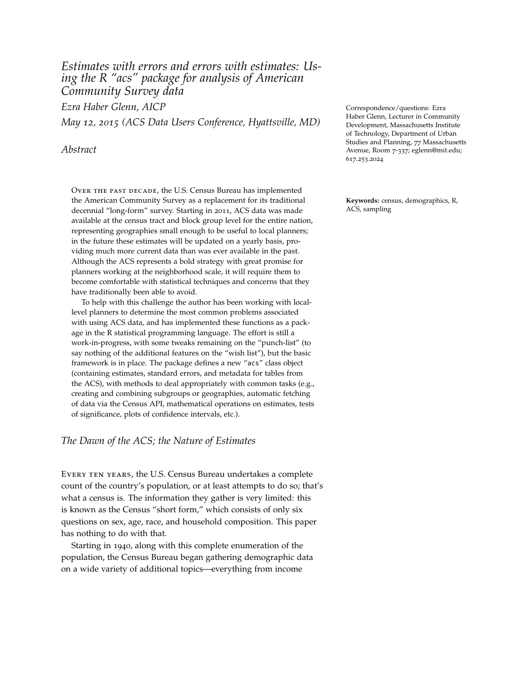# *Estimates with errors and errors with estimates: Using the R "acs" package for analysis of American Community Survey data*

*Ezra Haber Glenn, AICP* Correspondence/questions: Ezra

*May 12, 2015 (ACS Data Users Conference, Hyattsville, MD)*

# *Abstract*

Over the past decade, the U.S. Census Bureau has implemented the American Community Survey as a replacement for its traditional **Keywords:** census, demographics, R, decennial "long-form" survey. Starting in 2011, ACS data was made ACS, sampling decennial "long-form" survey. Starting in 2011, ACS data was made available at the census tract and block group level for the entire nation, representing geographies small enough to be useful to local planners; in the future these estimates will be updated on a yearly basis, providing much more current data than was ever available in the past. Although the ACS represents a bold strategy with great promise for planners working at the neighborhood scale, it will require them to become comfortable with statistical techniques and concerns that they have traditionally been able to avoid.

To help with this challenge the author has been working with locallevel planners to determine the most common problems associated with using ACS data, and has implemented these functions as a package in the R statistical programming language. The effort is still a work-in-progress, with some tweaks remaining on the "punch-list" (to say nothing of the additional features on the "wish list"), but the basic framework is in place. The package defines a new "acs" class object (containing estimates, standard errors, and metadata for tables from the ACS), with methods to deal appropriately with common tasks (e.g., creating and combining subgroups or geographies, automatic fetching of data via the Census API, mathematical operations on estimates, tests of significance, plots of confidence intervals, etc.).

# *The Dawn of the ACS; the Nature of Estimates*

Every ten years, the U.S. Census Bureau undertakes a complete count of the country's population, or at least attempts to do so; that's what a census is. The information they gather is very limited: this is known as the Census "short form," which consists of only six questions on sex, age, race, and household composition. This paper has nothing to do with that.

Starting in 1940, along with this complete enumeration of the population, the Census Bureau began gathering demographic data on a wide variety of additional topics—everything from income

Haber Glenn, Lecturer in Community Development, Massachusetts Institute of Technology, Department of Urban Studies and Planning, 77 Massachusetts Avenue, Room 7-337; eglenn@mit.edu; 617.253.2024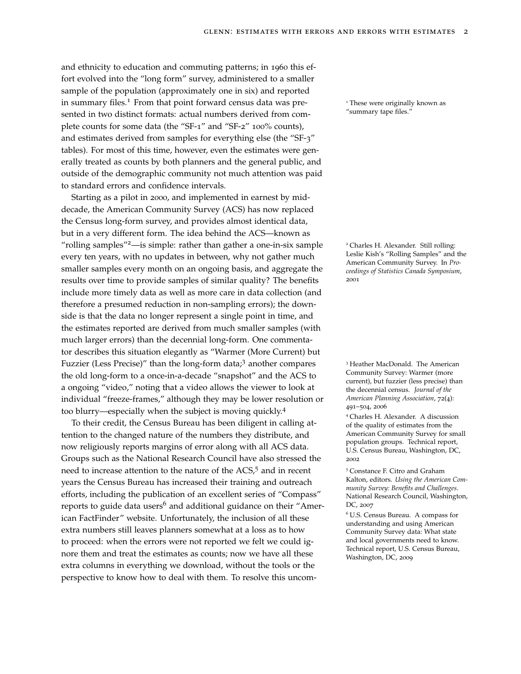and ethnicity to education and commuting patterns; in 1960 this effort evolved into the "long form" survey, administered to a smaller sample of the population (approximately one in six) and reported in summary files.<sup>1</sup> From that point forward census data was pre-<br><sup>1</sup> These were originally known as sented in two distinct formats: actual numbers derived from com-<br>"summary tape files." plete counts for some data (the "SF-1" and "SF-2" 100% counts), and estimates derived from samples for everything else (the "SF-3" tables). For most of this time, however, even the estimates were generally treated as counts by both planners and the general public, and outside of the demographic community not much attention was paid to standard errors and confidence intervals.

Starting as a pilot in 2000, and implemented in earnest by middecade, the American Community Survey (ACS) has now replaced the Census long-form survey, and provides almost identical data, but in a very different form. The idea behind the ACS—known as "rolling samples"2—is simple: rather than gather a one-in-six sample <sup>2</sup> Charles H. Alexander. Still rolling: every ten years, with no updates in between, why not gather much smaller samples every month on an ongoing basis, and aggregate the results over time to provide samples of similar quality? The benefits include more timely data as well as more care in data collection (and therefore a presumed reduction in non-sampling errors); the downside is that the data no longer represent a single point in time, and the estimates reported are derived from much smaller samples (with much larger errors) than the decennial long-form. One commentator describes this situation elegantly as "Warmer (More Current) but Fuzzier (Less Precise)" than the long-form data;<sup>3</sup> another compares <sup>3</sup> Heather MacDonald. The American the old long-form to a once-in-a-decade "snapshot" and the ACS to a ongoing "video," noting that a video allows the viewer to look at individual "freeze-frames," although they may be lower resolution or too blurry—especially when the subject is moving quickly.<sup>4</sup>

To their credit, the Census Bureau has been diligent in calling attention to the changed nature of the numbers they distribute, and now religiously reports margins of error along with all ACS data. Groups such as the National Research Council have also stressed the need to increase attention to the nature of the ACS,<sup>5</sup> and in recent <sup>5</sup> Constance F. Citro and Graham years the Census Bureau has increased their training and outreach efforts, including the publication of an excellent series of "Compass" reports to guide data users<sup>6</sup> and additional guidance on their "American FactFinder" website. Unfortunately, the inclusion of all these extra numbers still leaves planners somewhat at a loss as to how to proceed: when the errors were not reported we felt we could ignore them and treat the estimates as counts; now we have all these extra columns in everything we download, without the tools or the perspective to know how to deal with them. To resolve this uncom-

Leslie Kish's "Rolling Samples" and the American Community Survey. In *Proceedings of Statistics Canada Symposium*, 2001

Community Survey: Warmer (more current), but fuzzier (less precise) than the decennial census. *Journal of the American Planning Association*, 72(4): 491–504, 2006

<sup>4</sup> Charles H. Alexander. A discussion of the quality of estimates from the American Community Survey for small population groups. Technical report, U.S. Census Bureau, Washington, DC, 2002

Kalton, editors. *Using the American Community Survey: Benefits and Challenges*. National Research Council, Washington, DC, 2007

<sup>6</sup> U.S. Census Bureau. A compass for understanding and using American Community Survey data: What state and local governments need to know. Technical report, U.S. Census Bureau, Washington, DC, 2009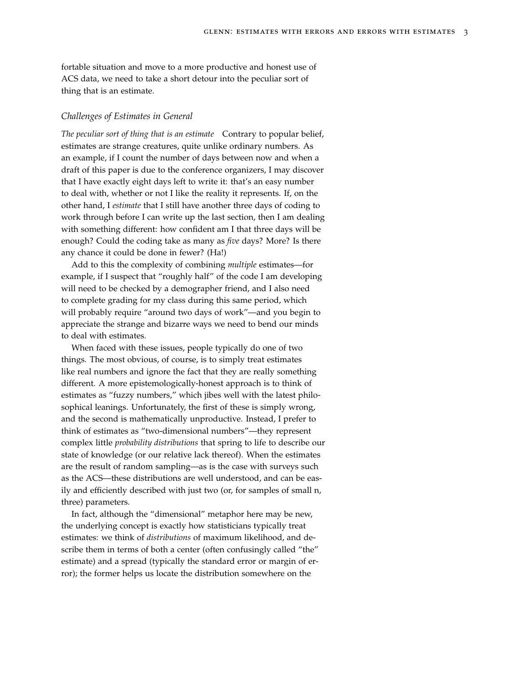fortable situation and move to a more productive and honest use of ACS data, we need to take a short detour into the peculiar sort of thing that is an estimate.

#### *Challenges of Estimates in General*

*The peculiar sort of thing that is an estimate* Contrary to popular belief, estimates are strange creatures, quite unlike ordinary numbers. As an example, if I count the number of days between now and when a draft of this paper is due to the conference organizers, I may discover that I have exactly eight days left to write it: that's an easy number to deal with, whether or not I like the reality it represents. If, on the other hand, I *estimate* that I still have another three days of coding to work through before I can write up the last section, then I am dealing with something different: how confident am I that three days will be enough? Could the coding take as many as *five* days? More? Is there any chance it could be done in fewer? (Ha!)

Add to this the complexity of combining *multiple* estimates—for example, if I suspect that "roughly half" of the code I am developing will need to be checked by a demographer friend, and I also need to complete grading for my class during this same period, which will probably require "around two days of work"—and you begin to appreciate the strange and bizarre ways we need to bend our minds to deal with estimates.

When faced with these issues, people typically do one of two things. The most obvious, of course, is to simply treat estimates like real numbers and ignore the fact that they are really something different. A more epistemologically-honest approach is to think of estimates as "fuzzy numbers," which jibes well with the latest philosophical leanings. Unfortunately, the first of these is simply wrong, and the second is mathematically unproductive. Instead, I prefer to think of estimates as "two-dimensional numbers"—they represent complex little *probability distributions* that spring to life to describe our state of knowledge (or our relative lack thereof). When the estimates are the result of random sampling—as is the case with surveys such as the ACS—these distributions are well understood, and can be easily and efficiently described with just two (or, for samples of small n, three) parameters.

In fact, although the "dimensional" metaphor here may be new, the underlying concept is exactly how statisticians typically treat estimates: we think of *distributions* of maximum likelihood, and describe them in terms of both a center (often confusingly called "the" estimate) and a spread (typically the standard error or margin of error); the former helps us locate the distribution somewhere on the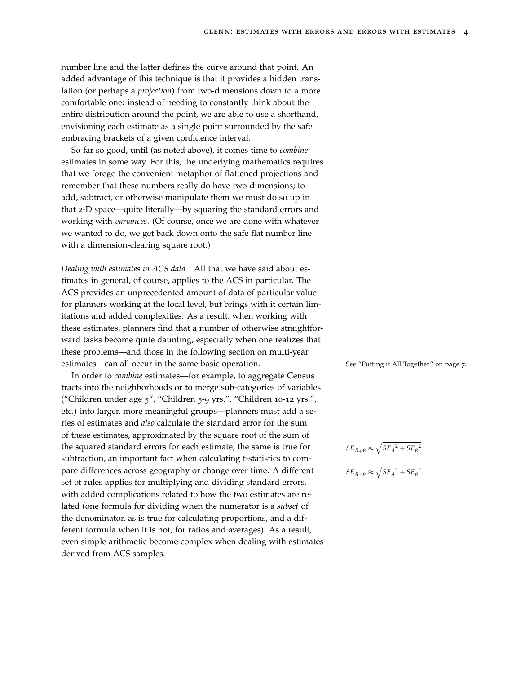number line and the latter defines the curve around that point. An added advantage of this technique is that it provides a hidden translation (or perhaps a *projection*) from two-dimensions down to a more comfortable one: instead of needing to constantly think about the entire distribution around the point, we are able to use a shorthand, envisioning each estimate as a single point surrounded by the safe embracing brackets of a given confidence interval.

So far so good, until (as noted above), it comes time to *combine* estimates in some way. For this, the underlying mathematics requires that we forego the convenient metaphor of flattened projections and remember that these numbers really do have two-dimensions; to add, subtract, or otherwise manipulate them we must do so up in that 2-D space—quite literally—by squaring the standard errors and working with *variances*. (Of course, once we are done with whatever we wanted to do, we get back down onto the safe flat number line with a dimension-clearing square root.)

*Dealing with estimates in ACS data* All that we have said about estimates in general, of course, applies to the ACS in particular. The ACS provides an unprecedented amount of data of particular value for planners working at the local level, but brings with it certain limitations and added complexities. As a result, when working with these estimates, planners find that a number of otherwise straightforward tasks become quite daunting, especially when one realizes that these problems—and those in the following section on multi-year estimates—can all occur in the same basic operation. See "Putting it All Together" on page [7](#page-6-0).

In order to *combine* estimates—for example, to aggregate Census tracts into the neighborhoods or to merge sub-categories of variables ("Children under age 5", "Children 5-9 yrs.", "Children 10-12 yrs.", etc.) into larger, more meaningful groups—planners must add a series of estimates and *also* calculate the standard error for the sum of these estimates, approximated by the square root of the sum of the squared standard errors for each estimate; the same is true for subtraction, an important fact when calculating t-statistics to compare differences across geography or change over time. A different set of rules applies for multiplying and dividing standard errors, with added complications related to how the two estimates are related (one formula for dividing when the numerator is a *subset* of the denominator, as is true for calculating proportions, and a different formula when it is not, for ratios and averages). As a result, even simple arithmetic become complex when dealing with estimates derived from ACS samples.

$$
SE_{\hat{A} + \hat{B}} \approx \sqrt{SE_{\hat{A}}^2 + SE_{\hat{B}}^2}
$$

$$
SE_{\hat{A} - \hat{B}} \approx \sqrt{SE_{\hat{A}}^2 + SE_{\hat{B}}^2}
$$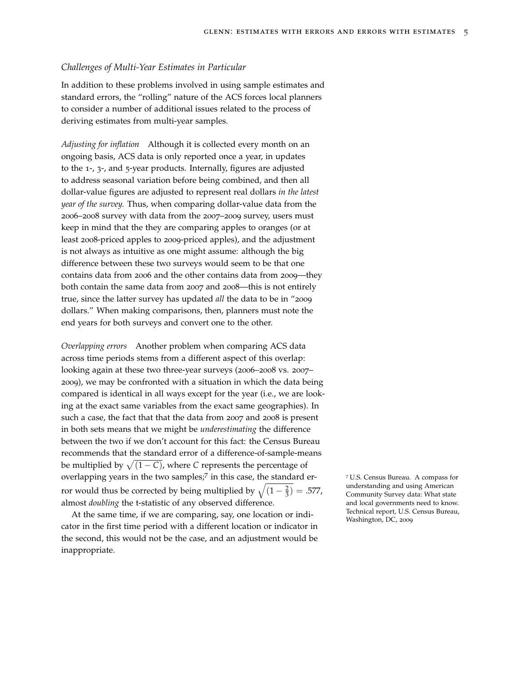#### <span id="page-4-0"></span>*Challenges of Multi-Year Estimates in Particular*

In addition to these problems involved in using sample estimates and standard errors, the "rolling" nature of the ACS forces local planners to consider a number of additional issues related to the process of deriving estimates from multi-year samples.

<span id="page-4-1"></span>*Adjusting for inflation* Although it is collected every month on an ongoing basis, ACS data is only reported once a year, in updates to the 1-, 3-, and 5-year products. Internally, figures are adjusted to address seasonal variation before being combined, and then all dollar-value figures are adjusted to represent real dollars *in the latest year of the survey.* Thus, when comparing dollar-value data from the 2006–2008 survey with data from the 2007–2009 survey, users must keep in mind that the they are comparing apples to oranges (or at least 2008-priced apples to 2009-priced apples), and the adjustment is not always as intuitive as one might assume: although the big difference between these two surveys would seem to be that one contains data from 2006 and the other contains data from 2009—they both contain the same data from 2007 and 2008—this is not entirely true, since the latter survey has updated *all* the data to be in "2009 dollars." When making comparisons, then, planners must note the end years for both surveys and convert one to the other.

*Overlapping errors* Another problem when comparing ACS data across time periods stems from a different aspect of this overlap: looking again at these two three-year surveys (2006–2008 vs. 2007– 2009), we may be confronted with a situation in which the data being compared is identical in all ways except for the year (i.e., we are looking at the exact same variables from the exact same geographies). In such a case, the fact that that the data from 2007 and 2008 is present in both sets means that we might be *underestimating* the difference between the two if we don't account for this fact: the Census Bureau recommends that the standard error of a difference-of-sample-means be multiplied by  $\sqrt{(1-C)}$ , where *C* represents the percentage of overlapping years in the two samples;<sup>7</sup> in this case, the standard er- <sup>7</sup> U.S. Census Bureau. A compass for ror would thus be corrected by being multiplied by  $\sqrt{(1-\frac{2}{3})} = .577$ , almost *doubling* the t-statistic of any observed difference.

At the same time, if we are comparing, say, one location or indicator in the first time period with a different location or indicator in the second, this would not be the case, and an adjustment would be inappropriate.

understanding and using American Community Survey data: What state and local governments need to know. Technical report, U.S. Census Bureau, Washington, DC, 2009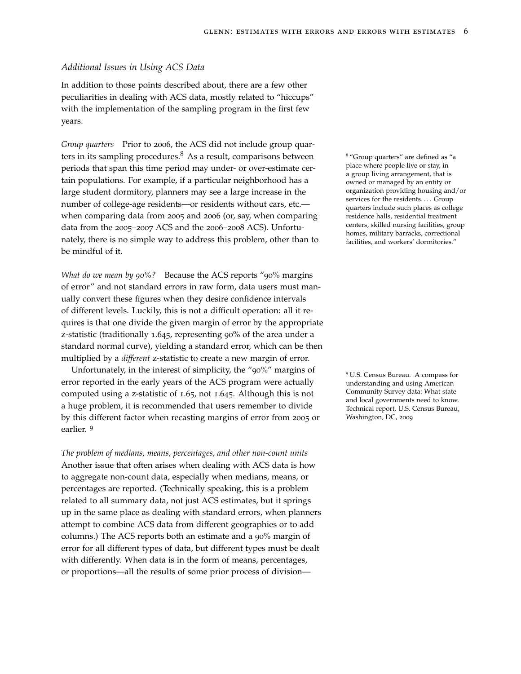#### *Additional Issues in Using ACS Data*

In addition to those points described about, there are a few other peculiarities in dealing with ACS data, mostly related to "hiccups" with the implementation of the sampling program in the first few years.

*Group quarters* Prior to 2006, the ACS did not include group quarters in its sampling procedures.<sup>8</sup> As a result, comparisons between  $\frac{8}{10}$  "Group quarters" are defined as "a periods that span this time period may under- or over-estimate certain populations. For example, if a particular neighborhood has a large student dormitory, planners may see a large increase in the number of college-age residents—or residents without cars, etc. when comparing data from 2005 and 2006 (or, say, when comparing data from the 2005–2007 ACS and the 2006–2008 ACS). Unfortunately, there is no simple way to address this problem, other than to be mindful of it.

*What do we mean by 90%?* Because the ACS reports "90% margins of error" and not standard errors in raw form, data users must manually convert these figures when they desire confidence intervals of different levels. Luckily, this is not a difficult operation: all it requires is that one divide the given margin of error by the appropriate z-statistic (traditionally 1.645, representing 90% of the area under a standard normal curve), yielding a standard error, which can be then multiplied by a *different* z-statistic to create a new margin of error.

Unfortunately, in the interest of simplicity, the "90%" margins of error reported in the early years of the ACS program were actually computed using a z-statistic of 1.65, not 1.645. Although this is not a huge problem, it is recommended that users remember to divide by this different factor when recasting margins of error from 2005 or earlier. <sup>9</sup>

<span id="page-5-0"></span>*The problem of medians, means, percentages, and other non-count units* Another issue that often arises when dealing with ACS data is how to aggregate non-count data, especially when medians, means, or percentages are reported. (Technically speaking, this is a problem related to all summary data, not just ACS estimates, but it springs up in the same place as dealing with standard errors, when planners attempt to combine ACS data from different geographies or to add columns.) The ACS reports both an estimate and a 90% margin of error for all different types of data, but different types must be dealt with differently. When data is in the form of means, percentages, or proportions—all the results of some prior process of divisionplace where people live or stay, in a group living arrangement, that is owned or managed by an entity or organization providing housing and/or services for the residents.... Group quarters include such places as college residence halls, residential treatment centers, skilled nursing facilities, group homes, military barracks, correctional facilities, and workers' dormitories."

<sup>9</sup> U.S. Census Bureau. A compass for understanding and using American Community Survey data: What state and local governments need to know. Technical report, U.S. Census Bureau, Washington, DC, 2009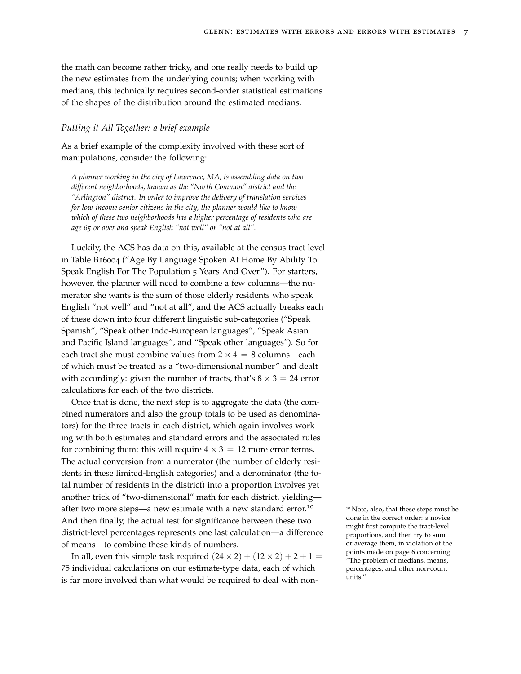the math can become rather tricky, and one really needs to build up the new estimates from the underlying counts; when working with medians, this technically requires second-order statistical estimations of the shapes of the distribution around the estimated medians.

## <span id="page-6-0"></span>*Putting it All Together: a brief example*

As a brief example of the complexity involved with these sort of manipulations, consider the following:

*A planner working in the city of Lawrence, MA, is assembling data on two different neighborhoods, known as the "North Common" district and the "Arlington" district. In order to improve the delivery of translation services for low-income senior citizens in the city, the planner would like to know which of these two neighborhoods has a higher percentage of residents who are age 65 or over and speak English "not well" or "not at all".*

Luckily, the ACS has data on this, available at the census tract level in Table B16004 ("Age By Language Spoken At Home By Ability To Speak English For The Population 5 Years And Over"). For starters, however, the planner will need to combine a few columns—the numerator she wants is the sum of those elderly residents who speak English "not well" and "not at all", and the ACS actually breaks each of these down into four different linguistic sub-categories ("Speak Spanish", "Speak other Indo-European languages", "Speak Asian and Pacific Island languages", and "Speak other languages"). So for each tract she must combine values from  $2 \times 4 = 8$  columns—each of which must be treated as a "two-dimensional number" and dealt with accordingly: given the number of tracts, that's  $8 \times 3 = 24$  error calculations for each of the two districts.

Once that is done, the next step is to aggregate the data (the combined numerators and also the group totals to be used as denominators) for the three tracts in each district, which again involves working with both estimates and standard errors and the associated rules for combining them: this will require  $4 \times 3 = 12$  more error terms. The actual conversion from a numerator (the number of elderly residents in these limited-English categories) and a denominator (the total number of residents in the district) into a proportion involves yet another trick of "two-dimensional" math for each district, yielding after two more steps—a new estimate with a new standard error.<sup>10</sup>  $\cdot$ <sup>10</sup> Note, also, that these steps must be And then finally, the actual test for significance between these two district-level percentages represents one last calculation—a difference of means—to combine these kinds of numbers.

In all, even this simple task required  $(24 \times 2) + (12 \times 2) + 2 + 1 =$ 75 individual calculations on our estimate-type data, each of which is far more involved than what would be required to deal with nondone in the correct order: a novice might first compute the tract-level proportions, and then try to sum or average them, in violation of the points made on page [6](#page-5-0) concerning "The problem of medians, means, percentages, and other non-count units."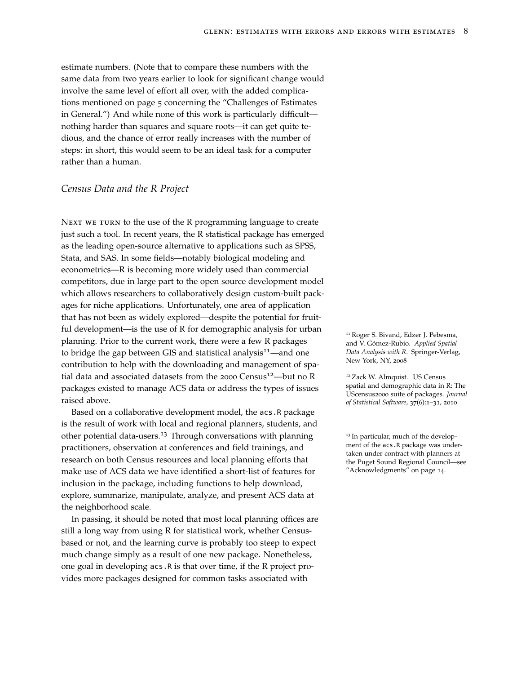estimate numbers. (Note that to compare these numbers with the same data from two years earlier to look for significant change would involve the same level of effort all over, with the added complications mentioned on page [5](#page-4-0) concerning the "Challenges of Estimates in General.") And while none of this work is particularly difficult nothing harder than squares and square roots—it can get quite tedious, and the chance of error really increases with the number of steps: in short, this would seem to be an ideal task for a computer rather than a human.

## *Census Data and the R Project*

NEXT WE TURN to the use of the R programming language to create just such a tool. In recent years, the R statistical package has emerged as the leading open-source alternative to applications such as SPSS, Stata, and SAS. In some fields—notably biological modeling and econometrics—R is becoming more widely used than commercial competitors, due in large part to the open source development model which allows researchers to collaboratively design custom-built packages for niche applications. Unfortunately, one area of application that has not been as widely explored—despite the potential for fruitful development—is the use of R for demographic analysis for urban planning. Prior to the current work, there were a few R packages to bridge the gap between GIS and statistical analysis $11$ —and one contribution to help with the downloading and management of spa-<br>New York, NY, 2008 tial data and associated datasets from the 2000 Census<sup>12</sup>—but no R <sup>12</sup> Zack W. Almquist. US Census packages existed to manage ACS data or address the types of issues raised above.

Based on a collaborative development model, the acs.R package is the result of work with local and regional planners, students, and other potential data-users.<sup>13</sup> Through conversations with planning  $\frac{13}{10}$  In particular, much of the developpractitioners, observation at conferences and field trainings, and research on both Census resources and local planning efforts that make use of ACS data we have identified a short-list of features for inclusion in the package, including functions to help download, explore, summarize, manipulate, analyze, and present ACS data at the neighborhood scale.

In passing, it should be noted that most local planning offices are still a long way from using R for statistical work, whether Censusbased or not, and the learning curve is probably too steep to expect much change simply as a result of one new package. Nonetheless, one goal in developing acs.R is that over time, if the R project provides more packages designed for common tasks associated with

<sup>11</sup> Roger S. Bivand, Edzer J. Pebesma, and V. Gómez-Rubio. *Applied Spatial Data Analysis with R*. Springer-Verlag,

spatial and demographic data in R: The UScensus2000 suite of packages. *Journal of Statistical Software*, 37(6):1–31, 2010

ment of the acs.R package was undertaken under contract with planners at the Puget Sound Regional Council—see "Acknowledgments" on page [14](#page-13-0).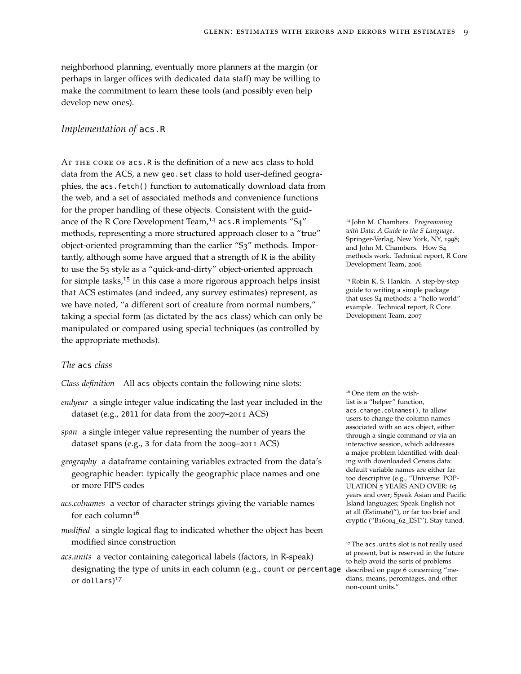neighborhood planning, eventually more planners at the margin (or perhaps in larger offices with dedicated data staff) may be willing to make the commitment to learn these tools (and possibly even help develop new ones).

## *Implementation of* acs.R

At the core of acs.R is the definition of a new acs class to hold data from the ACS, a new geo.set class to hold user-defined geographies, the acs.fetch() function to automatically download data from the web, and a set of associated methods and convenience functions for the proper handling of these objects. Consistent with the guidance of the R Core Development Team,<sup>14</sup> acs.R implements "S<sub>4</sub>" methods, representing a more structured approach closer to a "true" object-oriented programming than the earlier "S3" methods. Importantly, although some have argued that a strength of R is the ability to use the S3 style as a "quick-and-dirty" object-oriented approach for simple tasks,<sup>15</sup> in this case a more rigorous approach helps insist <sup>15</sup> Robin K. S. Hankin. A step-by-step that ACS estimates (and indeed, any survey estimates) represent, as we have noted, "a different sort of creature from normal numbers," taking a special form (as dictated by the acs class) which can only be manipulated or compared using special techniques (as controlled by the appropriate methods).

# *The* acs *class*

<span id="page-8-0"></span>*Class definition* All acs objects contain the following nine slots:

- *endyear* a single integer value indicating the last year included in the dataset (e.g., <sup>2011</sup> for data from the 2007–2011 ACS)
- *span* a single integer value representing the number of years the dataset spans (e.g., <sup>3</sup> for data from the 2009–2011 ACS)
- *geography* a dataframe containing variables extracted from the data's geographic header: typically the geographic place names and one or more FIPS codes
- *acs.colnames* a vector of character strings giving the variable names for each column<sup>16</sup>
- *modified* a single logical flag to indicated whether the object has been modified since construction
- *acs.units* a vector containing categorical labels (factors, in R-speak) designating the type of units in each column (e.g., count or percentage or dollars) 17

<sup>14</sup> John M. Chambers. *Programming with Data: A Guide to the S Language*. Springer-Verlag, New York, NY, 1998; and John M. Chambers. How S4 methods work. Technical report, R Core Development Team, 2006

guide to writing a simple package that uses S4 methods: a "hello world" example. Technical report, R Core Development Team, 2007

<sup>16</sup> One item on the wishlist is a "helper" function, acs.change.colnames(), to allow users to change the column names associated with an acs object, either through a single command or via an interactive session, which addresses a major problem identified with dealing with downloaded Census data: default variable names are either far too descriptive (e.g., "Universe: POP-ULATION 5 YEARS AND OVER: 65 years and over; Speak Asian and Pacific Island languages; Speak English not at all (Estimate)"), or far too brief and cryptic ("B16004\_62\_EST"). Stay tuned.

<sup>17</sup> The acs.units slot is not really used at present, but is reserved in the future to help avoid the sorts of problems described on page [6](#page-5-0) concerning "medians, means, percentages, and other non-count units."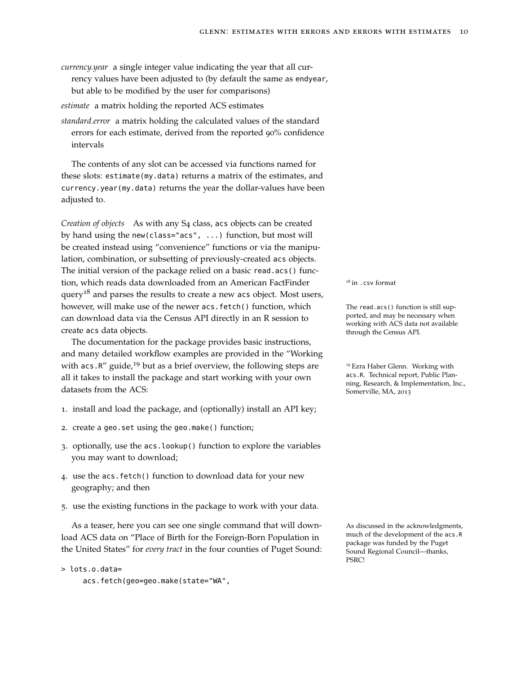*currency.year* a single integer value indicating the year that all currency values have been adjusted to (by default the same as endyear, but able to be modified by the user for comparisons)

*estimate* a matrix holding the reported ACS estimates

*standard.error* a matrix holding the calculated values of the standard errors for each estimate, derived from the reported 90% confidence intervals

The contents of any slot can be accessed via functions named for these slots: estimate(my.data) returns a matrix of the estimates, and currency.year(my.data) returns the year the dollar-values have been adjusted to.

*Creation of objects* As with any S4 class, acs objects can be created by hand using the new(class="acs", ...) function, but most will be created instead using "convenience" functions or via the manipulation, combination, or subsetting of previously-created acs objects. The initial version of the package relied on a basic read.acs() function, which reads data downloaded from an American FactFinder query<sup>18</sup> and parses the results to create a new acs object. Most users, however, will make use of the newer acs.fetch() function, which The read.acs() function is still supcan download data via the Census API directly in an R session to create acs data objects.

The documentation for the package provides basic instructions, and many detailed workflow examples are provided in the "Working with acs.R" guide,<sup>19</sup> but as a brief overview, the following steps are <sup>19</sup> Ezra Haber Glenn. Working with all it takes to install the package and start working with your own datasets from the ACS:

- 1. install and load the package, and (optionally) install an API key;
- 2. create a geo.set using the geo.make() function;
- 3. optionally, use the acs.lookup() function to explore the variables you may want to download;
- 4. use the acs.fetch() function to download data for your new geography; and then
- 5. use the existing functions in the package to work with your data.

As a teaser, here you can see one single command that will down-<br>As discussed in the acknowledgments, load ACS data on "Place of Birth for the Foreign-Born Population in the United States" for *every tract* in the four counties of Puget Sound:

> lots.o.data=

acs.fetch(geo=geo.make(state="WA",

<sup>18</sup> in .csv format

ported, and may be necessary when working with ACS data not available through the Census API.

acs.R. Technical report, Public Planning, Research, & Implementation, Inc., Somerville, MA, 2013

much of the development of the acs.R package was funded by the Puget Sound Regional Council—thanks, PSRC!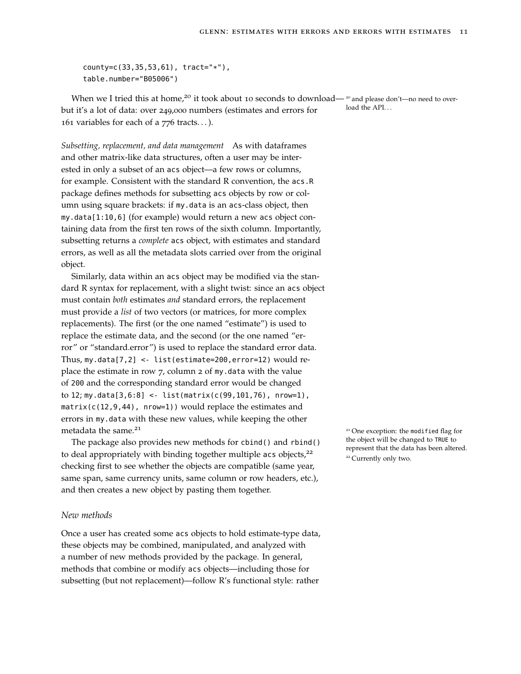county=c(33,35,53,61), tract="\*"), table.number="B05006")

When we I tried this at home,<sup>20</sup> it took about 10 seconds to download—<sup>20</sup> and please don't—no need to over-<br>tit's a lot of data: over 340,000 pumbers (estimates and errors for load the API... but it's a lot of data: over 249,000 numbers (estimates and errors for 161 variables for each of a  $776$  tracts...).

*Subsetting, replacement, and data management* As with dataframes and other matrix-like data structures, often a user may be interested in only a subset of an acs object—a few rows or columns, for example. Consistent with the standard R convention, the acs.R package defines methods for subsetting acs objects by row or column using square brackets: if my.data is an acs-class object, then my.data[1:10,6] (for example) would return a new acs object containing data from the first ten rows of the sixth column. Importantly, subsetting returns a *complete* acs object, with estimates and standard errors, as well as all the metadata slots carried over from the original object.

Similarly, data within an acs object may be modified via the standard R syntax for replacement, with a slight twist: since an acs object must contain *both* estimates *and* standard errors, the replacement must provide a *list* of two vectors (or matrices, for more complex replacements). The first (or the one named "estimate") is used to replace the estimate data, and the second (or the one named "error" or "standard.error") is used to replace the standard error data. Thus, my.data[7,2] <- list(estimate=200,error=12) would replace the estimate in row 7, column 2 of my.data with the value of 200 and the corresponding standard error would be changed to 12; my.data[3,6:8] <- list(matrix(c(99,101,76), nrow=1),  $matrix(c(12, 9, 44), nrow=1))$  would replace the estimates and errors in my.data with these new values, while keeping the other **metadata the same.**<sup>21</sup>  $\frac{21}{21}$  One exception: the modified flag for

The package also provides new methods for cbind() and rbind() to deal appropriately with binding together multiple acs objects, $22$ checking first to see whether the objects are compatible (same year, same span, same currency units, same column or row headers, etc.), and then creates a new object by pasting them together.

#### *New methods*

Once a user has created some acs objects to hold estimate-type data, these objects may be combined, manipulated, and analyzed with a number of new methods provided by the package. In general, methods that combine or modify acs objects—including those for subsetting (but not replacement)—follow R's functional style: rather

the object will be changed to TRUE to represent that the data has been altered. <sup>22</sup> Currently only two.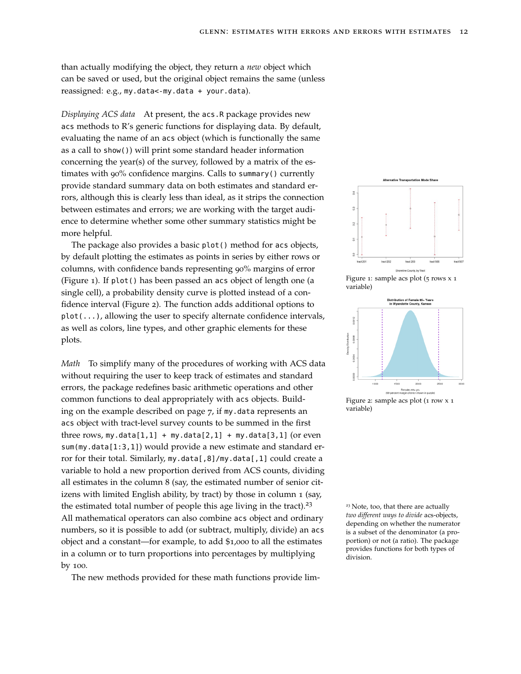than actually modifying the object, they return a *new* object which can be saved or used, but the original object remains the same (unless reassigned: e.g., my.data<-my.data + your.data).

<span id="page-11-0"></span>*Displaying ACS data* At present, the acs.R package provides new acs methods to R's generic functions for displaying data. By default, evaluating the name of an acs object (which is functionally the same as a call to show()) will print some standard header information concerning the year(s) of the survey, followed by a matrix of the estimates with 90% confidence margins. Calls to summary() currently provide standard summary data on both estimates and standard errors, although this is clearly less than ideal, as it strips the connection between estimates and errors; we are working with the target audience to determine whether some other summary statistics might be more helpful.

The package also provides a basic plot() method for acs objects, by default plotting the estimates as points in series by either rows or columns, with confidence bands representing 90% margins of error (Figure [1](#page-11-0)). If plot() has been passed an acs object of length one (a single cell), a probability density curve is plotted instead of a confidence interval (Figure [2](#page-11-0)). The function adds additional options to  $plot(...)$ , allowing the user to specify alternate confidence intervals, as well as colors, line types, and other graphic elements for these plots.

*Math* To simplify many of the procedures of working with ACS data without requiring the user to keep track of estimates and standard errors, the package redefines basic arithmetic operations and other common functions to deal appropriately with acs objects. Building on the example described on page [7](#page-6-0), if my.data represents an acs object with tract-level survey counts to be summed in the first three rows, my.data[1,1] + my.data[2,1] + my.data[3,1] (or even sum(my.data[1:3,1]) would provide a new estimate and standard error for their total. Similarly, my.data[,8]/my.data[,1] could create a variable to hold a new proportion derived from ACS counts, dividing all estimates in the column 8 (say, the estimated number of senior citizens with limited English ability, by tract) by those in column 1 (say, the estimated total number of people this age living in the tract).<sup>23</sup> 23 Note, too, that there are actually All mathematical operators can also combine acs object and ordinary numbers, so it is possible to add (or subtract, multiply, divide) an acs object and a constant—for example, to add \$1,000 to all the estimates in a column or to turn proportions into percentages by multiplying by 100.

The new methods provided for these math functions provide lim-



Figure 1: sample acs plot (5 rows x 1 variable)



Figure 2: sample acs plot (1 row x 1 variable)

*two different ways to divide* acs-objects, depending on whether the numerator is a subset of the denominator (a proportion) or not (a ratio). The package provides functions for both types of division.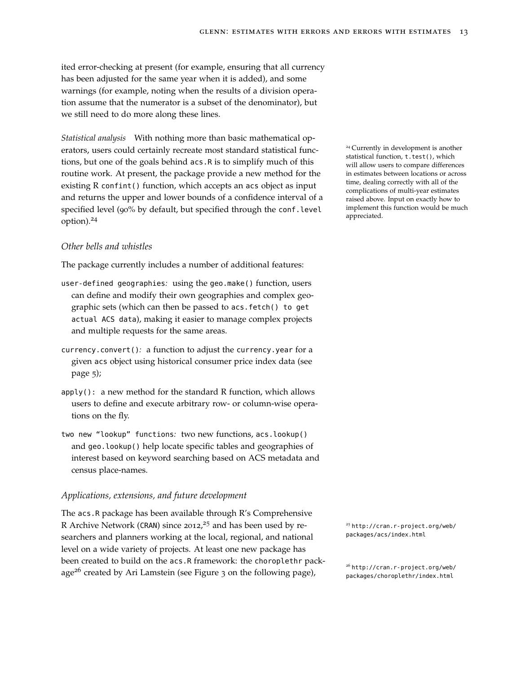ited error-checking at present (for example, ensuring that all currency has been adjusted for the same year when it is added), and some warnings (for example, noting when the results of a division operation assume that the numerator is a subset of the denominator), but we still need to do more along these lines.

<span id="page-12-0"></span>*Statistical analysis* With nothing more than basic mathematical operators, users could certainly recreate most standard statistical functions, but one of the goals behind acs.R is to simplify much of this routine work. At present, the package provide a new method for the existing R confint() function, which accepts an acs object as input and returns the upper and lower bounds of a confidence interval of a specified level (90% by default, but specified through the conf.level option).<sup>24</sup>

#### *Other bells and whistles*

The package currently includes a number of additional features:

- user-defined geographies*:* using the geo.make() function, users can define and modify their own geographies and complex geographic sets (which can then be passed to acs.fetch() to get actual ACS data), making it easier to manage complex projects and multiple requests for the same areas.
- currency.convert()*:* a function to adjust the currency.year for a given acs object using historical consumer price index data (see page [5](#page-4-1));
- $apply(): a new method for the standard R function, which allows$ users to define and execute arbitrary row- or column-wise operations on the fly.
- two new "lookup" functions*:* two new functions, acs.lookup() and geo.lookup() help locate specific tables and geographies of interest based on keyword searching based on ACS metadata and census place-names.

## *Applications, extensions, and future development*

The acs.R package has been available through R's Comprehensive R Archive Network (CRAN) since 2012,<sup>25</sup> and has been used by re-<br><sup>25</sup> [http://cran.r-project.org/web/](http://cran.r-project.org/web/packages/acs/index.html) searchers and planners working at the local, regional, and national [packages/acs/index.html](http://cran.r-project.org/web/packages/acs/index.html) level on a wide variety of projects. At least one new package has been created to build on the acs.R framework: the choroplethr package<sup>26</sup> created by Ari Lamstein (see Figure  $\alpha$  on the following page),

<sup>24</sup> Currently in development is another statistical function, t.test(), which will allow users to compare differences in estimates between locations or across time, dealing correctly with all of the complications of multi-year estimates raised above. Input on exactly how to implement this function would be much appreciated.

<sup>26</sup> [http://cran.r-project.org/web/](http://cran.r-project.org/web/packages/choroplethr/index.html) [packages/choroplethr/index.html](http://cran.r-project.org/web/packages/choroplethr/index.html)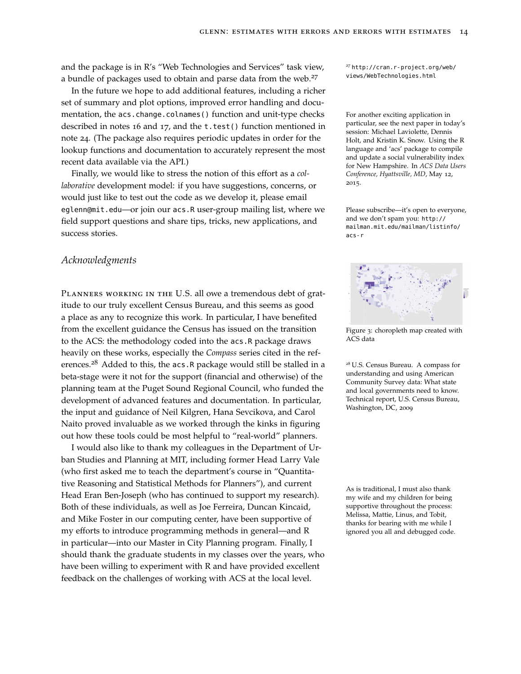and the package is in R's "Web Technologies and Services" task view, a bundle of packages used to obtain and parse data from the web.<sup>27</sup>

In the future we hope to add additional features, including a richer set of summary and plot options, improved error handling and documentation, the acs.change.colnames() function and unit-type checks For another exciting application in described in notes [16](#page-8-0) and [17](#page-8-0), and the t.test() function mentioned in note [24](#page-12-0). (The package also requires periodic updates in order for the lookup functions and documentation to accurately represent the most recent data available via the API.)

Finally, we would like to stress the notion of this effort as a *collaborative* development model: if you have suggestions, concerns, or would just like to test out the code as we develop it, please email eglenn@mit.edu—or join our acs.R user-group mailing list, where we Please subscribe—it's open to everyone, field support questions and share tips, tricks, new applications, and success stories.

### <span id="page-13-0"></span>*Acknowledgments*

PLANNERS WORKING IN THE U.S. all owe a tremendous debt of gratitude to our truly excellent Census Bureau, and this seems as good a place as any to recognize this work. In particular, I have benefited from the excellent guidance the Census has issued on the transition to the ACS: the methodology coded into the acs.R package draws heavily on these works, especially the *Compass* series cited in the references.<sup>28</sup> Added to this, the acs.R package would still be stalled in a <sup>28</sup> U.S. Census Bureau. A compass for beta-stage were it not for the support (financial and otherwise) of the planning team at the Puget Sound Regional Council, who funded the development of advanced features and documentation. In particular, the input and guidance of Neil Kilgren, Hana Sevcikova, and Carol Naito proved invaluable as we worked through the kinks in figuring out how these tools could be most helpful to "real-world" planners.

I would also like to thank my colleagues in the Department of Urban Studies and Planning at MIT, including former Head Larry Vale (who first asked me to teach the department's course in "Quantitative Reasoning and Statistical Methods for Planners"), and current Head Eran Ben-Joseph (who has continued to support my research). Both of these individuals, as well as Joe Ferreira, Duncan Kincaid, and Mike Foster in our computing center, have been supportive of my efforts to introduce programming methods in general—and R in particular—into our Master in City Planning program. Finally, I should thank the graduate students in my classes over the years, who have been willing to experiment with R and have provided excellent feedback on the challenges of working with ACS at the local level.

<sup>27</sup> [http://cran.r-project.org/web/](http://cran.r-project.org/web/views/WebTechnologies.html) [views/WebTechnologies.html](http://cran.r-project.org/web/views/WebTechnologies.html)

particular, see the next paper in today's session: Michael Laviolette, Dennis Holt, and Kristin K. Snow. Using the R language and 'acs' package to compile and update a social vulnerability index for New Hampshire. In *ACS Data Users Conference, Hyattsville, MD*, May 12, 2015.

and we don't spam you: [http://](http://mailman.mit.edu/mailman/listinfo/acs-r) [mailman.mit.edu/mailman/listinfo/](http://mailman.mit.edu/mailman/listinfo/acs-r) [acs-r](http://mailman.mit.edu/mailman/listinfo/acs-r)



Figure 3: choropleth map created with ACS data

understanding and using American Community Survey data: What state and local governments need to know. Technical report, U.S. Census Bureau, Washington, DC, 2009

As is traditional, I must also thank my wife and my children for being supportive throughout the process: Melissa, Mattie, Linus, and Tobit, thanks for bearing with me while I ignored you all and debugged code.